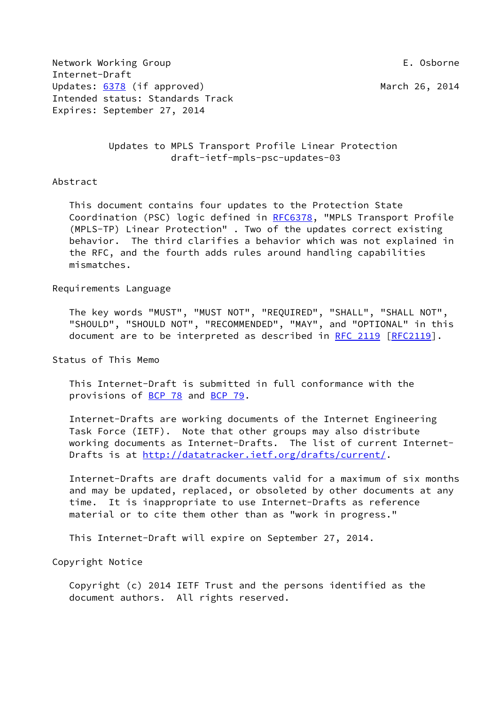Network Working Group **E. Osborne** Internet-Draft Updates: [6378](https://datatracker.ietf.org/doc/pdf/rfc6378) (if approved) March 26, 2014 Intended status: Standards Track Expires: September 27, 2014

 Updates to MPLS Transport Profile Linear Protection draft-ietf-mpls-psc-updates-03

### Abstract

 This document contains four updates to the Protection State Coordination (PSC) logic defined in [RFC6378,](https://datatracker.ietf.org/doc/pdf/rfc6378) "MPLS Transport Profile (MPLS-TP) Linear Protection" . Two of the updates correct existing behavior. The third clarifies a behavior which was not explained in the RFC, and the fourth adds rules around handling capabilities mismatches.

#### Requirements Language

 The key words "MUST", "MUST NOT", "REQUIRED", "SHALL", "SHALL NOT", "SHOULD", "SHOULD NOT", "RECOMMENDED", "MAY", and "OPTIONAL" in this document are to be interpreted as described in [RFC 2119 \[RFC2119](https://datatracker.ietf.org/doc/pdf/rfc2119)].

Status of This Memo

 This Internet-Draft is submitted in full conformance with the provisions of [BCP 78](https://datatracker.ietf.org/doc/pdf/bcp78) and [BCP 79](https://datatracker.ietf.org/doc/pdf/bcp79).

 Internet-Drafts are working documents of the Internet Engineering Task Force (IETF). Note that other groups may also distribute working documents as Internet-Drafts. The list of current Internet Drafts is at<http://datatracker.ietf.org/drafts/current/>.

 Internet-Drafts are draft documents valid for a maximum of six months and may be updated, replaced, or obsoleted by other documents at any time. It is inappropriate to use Internet-Drafts as reference material or to cite them other than as "work in progress."

This Internet-Draft will expire on September 27, 2014.

Copyright Notice

 Copyright (c) 2014 IETF Trust and the persons identified as the document authors. All rights reserved.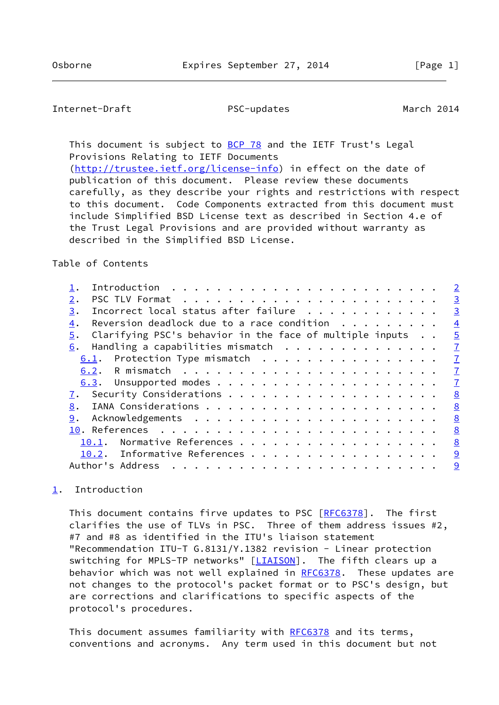## <span id="page-1-1"></span>Internet-Draft PSC-updates March 2014

This document is subject to [BCP 78](https://datatracker.ietf.org/doc/pdf/bcp78) and the IETF Trust's Legal Provisions Relating to IETF Documents

 [\(http://trustee.ietf.org/license-info](http://trustee.ietf.org/license-info)) in effect on the date of publication of this document. Please review these documents carefully, as they describe your rights and restrictions with respect to this document. Code Components extracted from this document must include Simplified BSD License text as described in Section 4.e of the Trust Legal Provisions and are provided without warranty as described in the Simplified BSD License.

### Table of Contents

|                                                                                              | $\overline{2}$ |
|----------------------------------------------------------------------------------------------|----------------|
| 2.                                                                                           | $\overline{3}$ |
| Incorrect local status after failure<br>3.                                                   | $\overline{3}$ |
| Reversion deadlock due to a race condition $\cdot \cdot \cdot \cdot \cdot \cdot \cdot$<br>4. | $\overline{4}$ |
| Clarifying PSC's behavior in the face of multiple inputs<br>5.                               | $\overline{5}$ |
| Handling a capabilities mismatch<br>6.                                                       | $\overline{1}$ |
| $6.1$ . Protection Type mismatch                                                             | $\overline{1}$ |
|                                                                                              | $\mathbf{I}$   |
|                                                                                              | $\mathbf{I}$   |
|                                                                                              | 8              |
| 8.                                                                                           | <u>8</u>       |
| 9.                                                                                           | 8              |
|                                                                                              | 8              |
| Normative References<br>10.1.                                                                | 8              |
| 10.2. Informative References                                                                 | 9              |
| Author's Address                                                                             | 9              |
|                                                                                              |                |

## <span id="page-1-0"></span>[1](#page-1-0). Introduction

This document contains firve updates to PSC [\[RFC6378](https://datatracker.ietf.org/doc/pdf/rfc6378)]. The first clarifies the use of TLVs in PSC. Three of them address issues #2, #7 and #8 as identified in the ITU's liaison statement "Recommendation ITU-T G.8131/Y.1382 revision - Linear protection switching for MPLS-TP networks" [\[LIAISON](#page-9-2)]. The fifth clears up a behavior which was not well explained in [RFC6378](https://datatracker.ietf.org/doc/pdf/rfc6378). These updates are not changes to the protocol's packet format or to PSC's design, but are corrections and clarifications to specific aspects of the protocol's procedures.

This document assumes familiarity with [RFC6378](https://datatracker.ietf.org/doc/pdf/rfc6378) and its terms, conventions and acronyms. Any term used in this document but not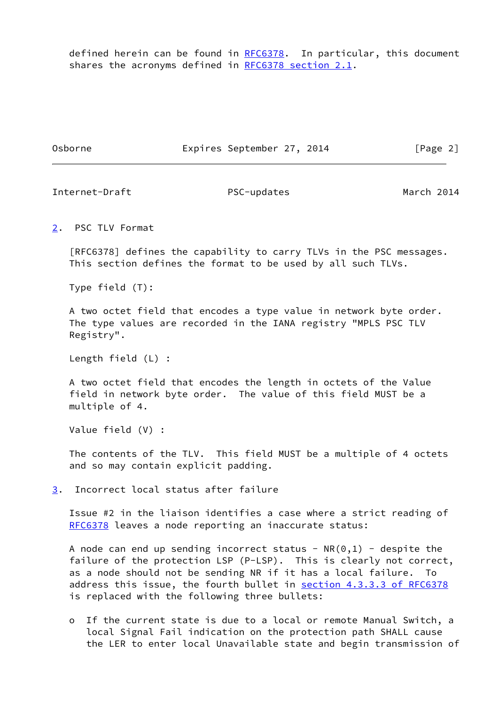defined herein can be found in [RFC6378](https://datatracker.ietf.org/doc/pdf/rfc6378). In particular, this document shares the acronyms defined in [RFC6378 section](https://datatracker.ietf.org/doc/pdf/rfc6378#section-2.1) 2.1.

Osborne **Expires September 27, 2014** [Page 2]

<span id="page-2-1"></span>Internet-Draft PSC-updates March 2014

<span id="page-2-0"></span>[2](#page-2-0). PSC TLV Format

 [RFC6378] defines the capability to carry TLVs in the PSC messages. This section defines the format to be used by all such TLVs.

Type field (T):

 A two octet field that encodes a type value in network byte order. The type values are recorded in the IANA registry "MPLS PSC TLV Registry".

Length field (L) :

 A two octet field that encodes the length in octets of the Value field in network byte order. The value of this field MUST be a multiple of 4.

Value field (V) :

 The contents of the TLV. This field MUST be a multiple of 4 octets and so may contain explicit padding.

<span id="page-2-2"></span>[3](#page-2-2). Incorrect local status after failure

 Issue #2 in the liaison identifies a case where a strict reading of [RFC6378](https://datatracker.ietf.org/doc/pdf/rfc6378) leaves a node reporting an inaccurate status:

A node can end up sending incorrect status -  $NR(0,1)$  - despite the failure of the protection LSP (P-LSP). This is clearly not correct, as a node should not be sending NR if it has a local failure. To address this issue, the fourth bullet in section [4.3.3.3 of RFC6378](https://datatracker.ietf.org/doc/pdf/rfc6378#section-4.3.3.3) is replaced with the following three bullets:

 o If the current state is due to a local or remote Manual Switch, a local Signal Fail indication on the protection path SHALL cause the LER to enter local Unavailable state and begin transmission of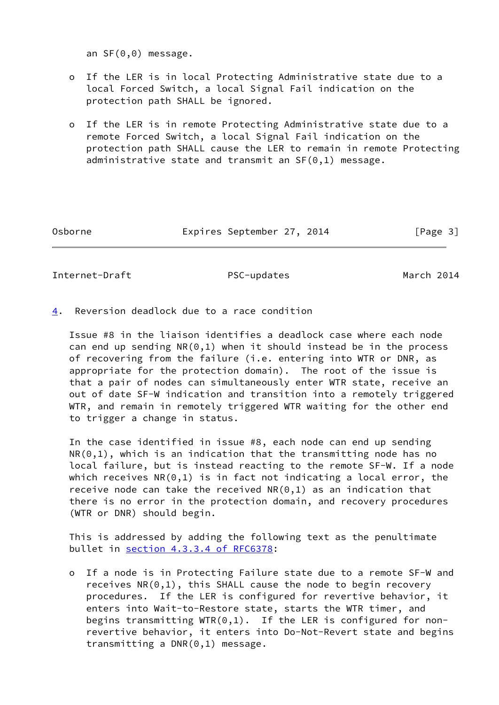an SF(0,0) message.

- o If the LER is in local Protecting Administrative state due to a local Forced Switch, a local Signal Fail indication on the protection path SHALL be ignored.
- o If the LER is in remote Protecting Administrative state due to a remote Forced Switch, a local Signal Fail indication on the protection path SHALL cause the LER to remain in remote Protecting administrative state and transmit an SF(0,1) message.

Osborne Expires September 27, 2014 [Page 3]

<span id="page-3-1"></span>Internet-Draft PSC-updates March 2014

<span id="page-3-0"></span>[4](#page-3-0). Reversion deadlock due to a race condition

 Issue #8 in the liaison identifies a deadlock case where each node can end up sending  $NR(0,1)$  when it should instead be in the process of recovering from the failure (i.e. entering into WTR or DNR, as appropriate for the protection domain). The root of the issue is that a pair of nodes can simultaneously enter WTR state, receive an out of date SF-W indication and transition into a remotely triggered WTR, and remain in remotely triggered WTR waiting for the other end to trigger a change in status.

 In the case identified in issue #8, each node can end up sending  $NR(0,1)$ , which is an indication that the transmitting node has no local failure, but is instead reacting to the remote SF-W. If a node which receives  $NR(0,1)$  is in fact not indicating a local error, the receive node can take the received  $NR(0,1)$  as an indication that there is no error in the protection domain, and recovery procedures (WTR or DNR) should begin.

 This is addressed by adding the following text as the penultimate bullet in section [4.3.3.4 of RFC6378:](https://datatracker.ietf.org/doc/pdf/rfc6378#section-4.3.3.4)

 o If a node is in Protecting Failure state due to a remote SF-W and receives NR(0,1), this SHALL cause the node to begin recovery procedures. If the LER is configured for revertive behavior, it enters into Wait-to-Restore state, starts the WTR timer, and begins transmitting  $WTR(0,1)$ . If the LER is configured for non revertive behavior, it enters into Do-Not-Revert state and begins transmitting a DNR(0,1) message.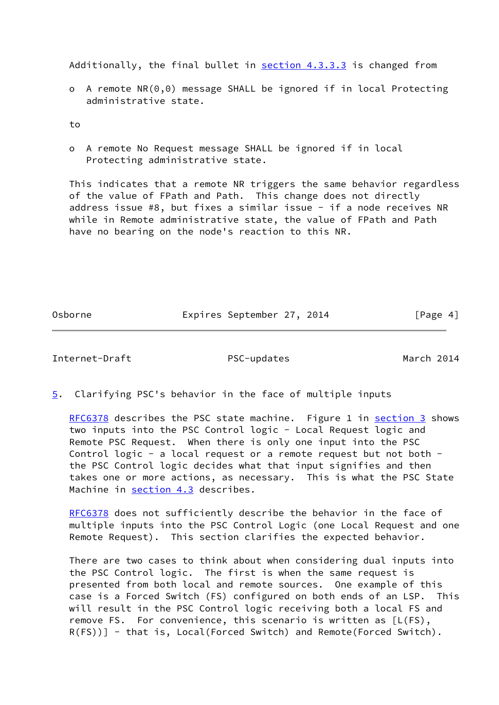Additionally, the final bullet in **section 4.3.3.3** is changed from

 o A remote NR(0,0) message SHALL be ignored if in local Protecting administrative state.

to

 o A remote No Request message SHALL be ignored if in local Protecting administrative state.

 This indicates that a remote NR triggers the same behavior regardless of the value of FPath and Path. This change does not directly address issue #8, but fixes a similar issue - if a node receives NR while in Remote administrative state, the value of FPath and Path have no bearing on the node's reaction to this NR.

Osborne **Expires September 27, 2014** [Page 4]

<span id="page-4-1"></span>Internet-Draft PSC-updates March 2014

<span id="page-4-0"></span>[5](#page-4-0). Clarifying PSC's behavior in the face of multiple inputs

[RFC6378](https://datatracker.ietf.org/doc/pdf/rfc6378) describes the PSC state machine. Figure 1 in [section 3](#page-2-2) shows two inputs into the PSC Control logic - Local Request logic and Remote PSC Request. When there is only one input into the PSC Control logic - a local request or a remote request but not both the PSC Control logic decides what that input signifies and then takes one or more actions, as necessary. This is what the PSC State Machine in section 4.3 describes.

[RFC6378](https://datatracker.ietf.org/doc/pdf/rfc6378) does not sufficiently describe the behavior in the face of multiple inputs into the PSC Control Logic (one Local Request and one Remote Request). This section clarifies the expected behavior.

 There are two cases to think about when considering dual inputs into the PSC Control logic. The first is when the same request is presented from both local and remote sources. One example of this case is a Forced Switch (FS) configured on both ends of an LSP. This will result in the PSC Control logic receiving both a local FS and remove FS. For convenience, this scenario is written as [L(FS), R(FS))] - that is, Local(Forced Switch) and Remote(Forced Switch).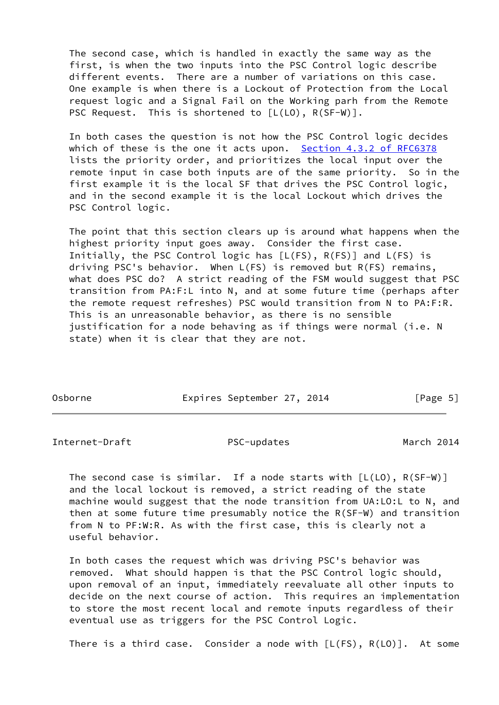The second case, which is handled in exactly the same way as the first, is when the two inputs into the PSC Control logic describe different events. There are a number of variations on this case. One example is when there is a Lockout of Protection from the Local request logic and a Signal Fail on the Working parh from the Remote PSC Request. This is shortened to  $[L(L0), R(SF-W)].$ 

 In both cases the question is not how the PSC Control logic decides which of these is the one it acts upon. Section [4.3.2 of RFC6378](https://datatracker.ietf.org/doc/pdf/rfc6378#section-4.3.2) lists the priority order, and prioritizes the local input over the remote input in case both inputs are of the same priority. So in the first example it is the local SF that drives the PSC Control logic, and in the second example it is the local Lockout which drives the PSC Control logic.

 The point that this section clears up is around what happens when the highest priority input goes away. Consider the first case. Initially, the PSC Control logic has [L(FS), R(FS)] and L(FS) is driving PSC's behavior. When L(FS) is removed but R(FS) remains, what does PSC do? A strict reading of the FSM would suggest that PSC transition from PA:F:L into N, and at some future time (perhaps after the remote request refreshes) PSC would transition from N to PA:F:R. This is an unreasonable behavior, as there is no sensible justification for a node behaving as if things were normal (i.e. N state) when it is clear that they are not.

| Osborne | Expires September 27, 2014 | [Page 5] |
|---------|----------------------------|----------|

Internet-Draft PSC-updates March 2014

The second case is similar. If a node starts with  $[L(L0), R(SF-W)]$  and the local lockout is removed, a strict reading of the state machine would suggest that the node transition from UA:LO:L to N, and then at some future time presumably notice the R(SF-W) and transition from N to PF:W:R. As with the first case, this is clearly not a useful behavior.

 In both cases the request which was driving PSC's behavior was removed. What should happen is that the PSC Control logic should, upon removal of an input, immediately reevaluate all other inputs to decide on the next course of action. This requires an implementation to store the most recent local and remote inputs regardless of their eventual use as triggers for the PSC Control Logic.

There is a third case. Consider a node with [L(FS), R(LO)]. At some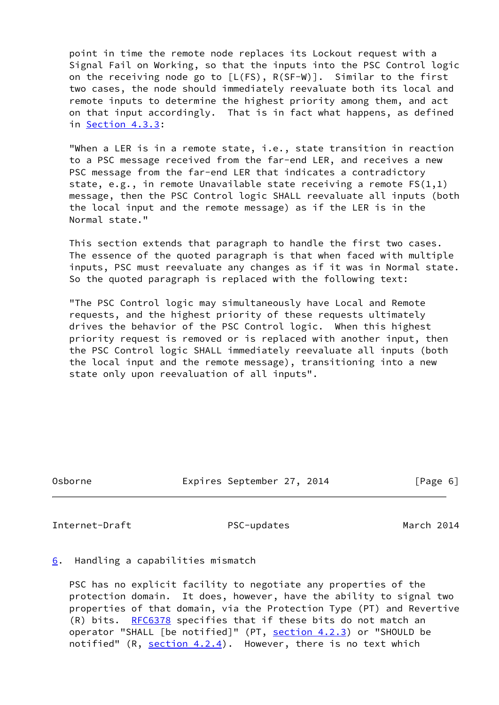point in time the remote node replaces its Lockout request with a Signal Fail on Working, so that the inputs into the PSC Control logic on the receiving node go to [L(FS), R(SF-W)]. Similar to the first two cases, the node should immediately reevaluate both its local and remote inputs to determine the highest priority among them, and act on that input accordingly. That is in fact what happens, as defined in Section 4.3.3:

 "When a LER is in a remote state, i.e., state transition in reaction to a PSC message received from the far-end LER, and receives a new PSC message from the far-end LER that indicates a contradictory state, e.g., in remote Unavailable state receiving a remote FS(1,1) message, then the PSC Control logic SHALL reevaluate all inputs (both the local input and the remote message) as if the LER is in the Normal state."

 This section extends that paragraph to handle the first two cases. The essence of the quoted paragraph is that when faced with multiple inputs, PSC must reevaluate any changes as if it was in Normal state. So the quoted paragraph is replaced with the following text:

 "The PSC Control logic may simultaneously have Local and Remote requests, and the highest priority of these requests ultimately drives the behavior of the PSC Control logic. When this highest priority request is removed or is replaced with another input, then the PSC Control logic SHALL immediately reevaluate all inputs (both the local input and the remote message), transitioning into a new state only upon reevaluation of all inputs".

Osborne Expires September 27, 2014 [Page 6]

<span id="page-6-1"></span>Internet-Draft PSC-updates March 2014

<span id="page-6-0"></span>[6](#page-6-0). Handling a capabilities mismatch

 PSC has no explicit facility to negotiate any properties of the protection domain. It does, however, have the ability to signal two properties of that domain, via the Protection Type (PT) and Revertive (R) bits. [RFC6378](https://datatracker.ietf.org/doc/pdf/rfc6378) specifies that if these bits do not match an operator "SHALL [be notified]" (PT, section 4.2.3) or "SHOULD be notified"  $(R, *section 4.2.4*)$ . However, there is no text which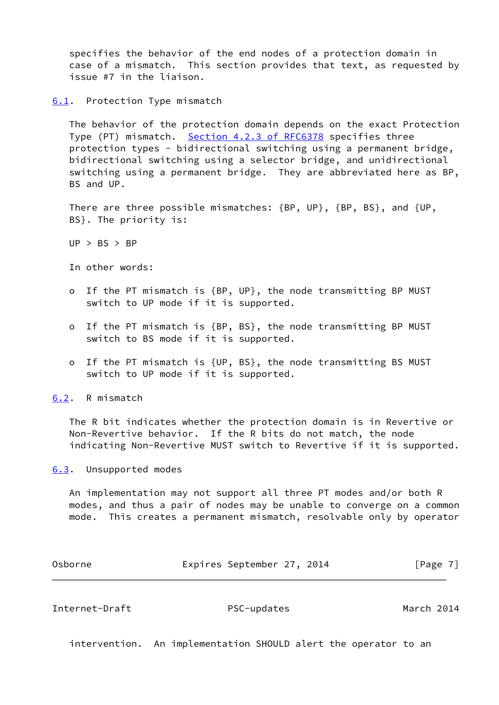specifies the behavior of the end nodes of a protection domain in case of a mismatch. This section provides that text, as requested by issue #7 in the liaison.

<span id="page-7-0"></span>[6.1](#page-7-0). Protection Type mismatch

 The behavior of the protection domain depends on the exact Protection Type (PT) mismatch. Section [4.2.3 of RFC6378](https://datatracker.ietf.org/doc/pdf/rfc6378#section-4.2.3) specifies three protection types - bidirectional switching using a permanent bridge, bidirectional switching using a selector bridge, and unidirectional switching using a permanent bridge. They are abbreviated here as BP, BS and UP.

 There are three possible mismatches: {BP, UP}, {BP, BS}, and {UP, BS}. The priority is:

 $UP > BS > BP$ 

In other words:

- o If the PT mismatch is {BP, UP}, the node transmitting BP MUST switch to UP mode if it is supported.
- o If the PT mismatch is {BP, BS}, the node transmitting BP MUST switch to BS mode if it is supported.
- o If the PT mismatch is {UP, BS}, the node transmitting BS MUST switch to UP mode if it is supported.

<span id="page-7-1"></span>[6.2](#page-7-1). R mismatch

 The R bit indicates whether the protection domain is in Revertive or Non-Revertive behavior. If the R bits do not match, the node indicating Non-Revertive MUST switch to Revertive if it is supported.

<span id="page-7-2"></span>[6.3](#page-7-2). Unsupported modes

 An implementation may not support all three PT modes and/or both R modes, and thus a pair of nodes may be unable to converge on a common mode. This creates a permanent mismatch, resolvable only by operator

| Osborne | Expires September 27, 2014 | [Page 7] |
|---------|----------------------------|----------|
|---------|----------------------------|----------|

<span id="page-7-3"></span>Internet-Draft PSC-updates March 2014

intervention. An implementation SHOULD alert the operator to an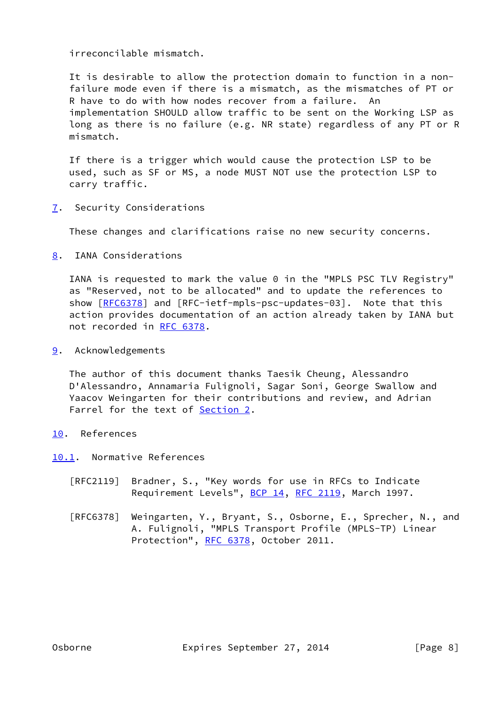irreconcilable mismatch.

 It is desirable to allow the protection domain to function in a non failure mode even if there is a mismatch, as the mismatches of PT or R have to do with how nodes recover from a failure. An implementation SHOULD allow traffic to be sent on the Working LSP as long as there is no failure (e.g. NR state) regardless of any PT or R mismatch.

 If there is a trigger which would cause the protection LSP to be used, such as SF or MS, a node MUST NOT use the protection LSP to carry traffic.

<span id="page-8-0"></span>[7](#page-8-0). Security Considerations

These changes and clarifications raise no new security concerns.

<span id="page-8-1"></span>[8](#page-8-1). IANA Considerations

 IANA is requested to mark the value 0 in the "MPLS PSC TLV Registry" as "Reserved, not to be allocated" and to update the references to show  $[REC6378]$  and  $[REC-ietf-mpls-psc-updates-03]$ . Note that this action provides documentation of an action already taken by IANA but not recorded in [RFC 6378](https://datatracker.ietf.org/doc/pdf/rfc6378).

<span id="page-8-2"></span>[9](#page-8-2). Acknowledgements

 The author of this document thanks Taesik Cheung, Alessandro D'Alessandro, Annamaria Fulignoli, Sagar Soni, George Swallow and Yaacov Weingarten for their contributions and review, and Adrian Farrel for the text of **[Section 2.](#page-2-0)** 

- <span id="page-8-3"></span>[10.](#page-8-3) References
- <span id="page-8-4"></span>[10.1](#page-8-4). Normative References
	- [RFC2119] Bradner, S., "Key words for use in RFCs to Indicate Requirement Levels", [BCP 14](https://datatracker.ietf.org/doc/pdf/bcp14), [RFC 2119](https://datatracker.ietf.org/doc/pdf/rfc2119), March 1997.
	- [RFC6378] Weingarten, Y., Bryant, S., Osborne, E., Sprecher, N., and A. Fulignoli, "MPLS Transport Profile (MPLS-TP) Linear Protection", [RFC 6378](https://datatracker.ietf.org/doc/pdf/rfc6378), October 2011.